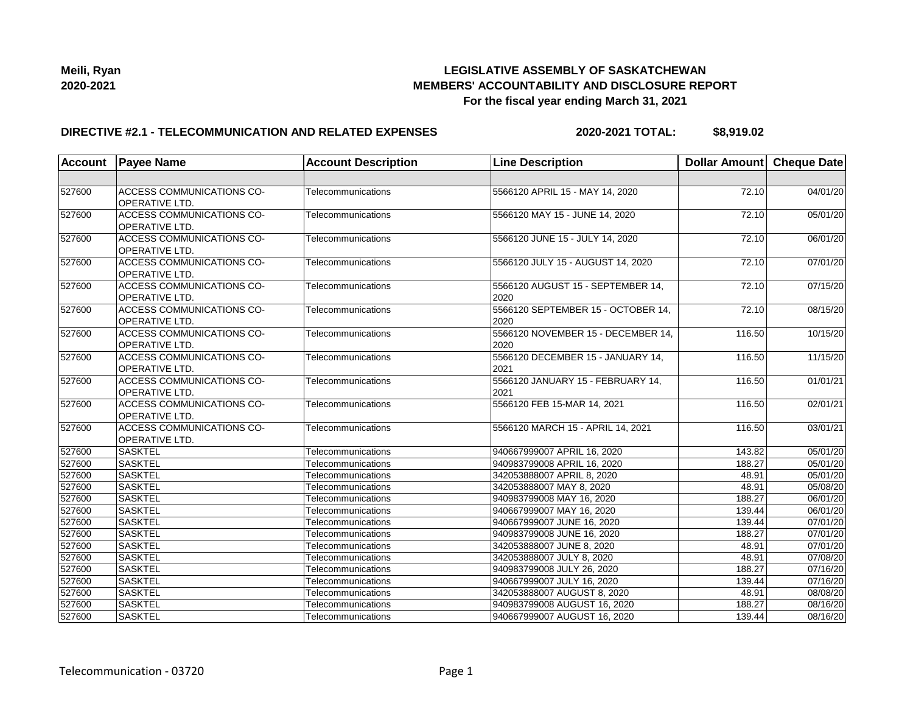

### **DIRECTIVE #2.1 - TELECOMMUNICATION AND RELATED EXPENSES**

**2020-2021 TOTAL: \$8,919.02**

| <b>Account</b> | <b>Payee Name</b>                                         | <b>Account Description</b> | <b>Line Description</b>                    | Dollar Amount Cheque Date |                       |
|----------------|-----------------------------------------------------------|----------------------------|--------------------------------------------|---------------------------|-----------------------|
|                |                                                           |                            |                                            |                           |                       |
| 527600         | ACCESS COMMUNICATIONS CO-<br>OPERATIVE LTD.               | Telecommunications         | 5566120 APRIL 15 - MAY 14, 2020            | 72.10                     | 04/01/20              |
| 527600         | ACCESS COMMUNICATIONS CO-<br><b>OPERATIVE LTD.</b>        | Telecommunications         | 5566120 MAY 15 - JUNE 14, 2020             | 72.10                     | 05/01/20              |
| 527600         | ACCESS COMMUNICATIONS CO-<br>OPERATIVE LTD.               | Telecommunications         | 5566120 JUNE 15 - JULY 14, 2020            | 72.10                     | 06/01/20              |
| 527600         | <b>ACCESS COMMUNICATIONS CO-</b><br><b>OPERATIVE LTD.</b> | Telecommunications         | 5566120 JULY 15 - AUGUST 14, 2020          | 72.10                     | 07/01/20              |
| 527600         | <b>ACCESS COMMUNICATIONS CO-</b><br>OPERATIVE LTD.        | Telecommunications         | 5566120 AUGUST 15 - SEPTEMBER 14,<br>2020  | 72.10                     | 07/15/20              |
| 527600         | <b>ACCESS COMMUNICATIONS CO-</b><br><b>OPERATIVE LTD.</b> | Telecommunications         | 5566120 SEPTEMBER 15 - OCTOBER 14,<br>2020 | 72.10                     | 08/15/20              |
| 527600         | ACCESS COMMUNICATIONS CO-<br><b>OPERATIVE LTD.</b>        | Telecommunications         | 5566120 NOVEMBER 15 - DECEMBER 14,<br>2020 | 116.50                    | 10/15/20              |
| 527600         | <b>ACCESS COMMUNICATIONS CO-</b><br>OPERATIVE LTD.        | Telecommunications         | 5566120 DECEMBER 15 - JANUARY 14,<br>2021  | 116.50                    | 11/15/20              |
| 527600         | ACCESS COMMUNICATIONS CO-<br>OPERATIVE LTD.               | Telecommunications         | 5566120 JANUARY 15 - FEBRUARY 14,<br>2021  | 116.50                    | 01/01/21              |
| 527600         | <b>ACCESS COMMUNICATIONS CO-</b><br>OPERATIVE LTD.        | Telecommunications         | 5566120 FEB 15-MAR 14, 2021                | 116.50                    | 02/01/21              |
| 527600         | <b>ACCESS COMMUNICATIONS CO-</b><br>OPERATIVE LTD.        | Telecommunications         | 5566120 MARCH 15 - APRIL 14, 2021          | 116.50                    | 03/01/21              |
| 527600         | <b>SASKTEL</b>                                            | Telecommunications         | 940667999007 APRIL 16, 2020                | 143.82                    | 05/01/20              |
| 527600         | <b>SASKTEL</b>                                            | Telecommunications         | 940983799008 APRIL 16, 2020                | 188.27                    | 05/01/20              |
| 527600         | <b>SASKTEL</b>                                            | Telecommunications         | 342053888007 APRIL 8, 2020                 | 48.91                     | 05/01/20              |
| 527600         | <b>SASKTEL</b>                                            | Telecommunications         | 342053888007 MAY 8, 2020                   | 48.91                     | 05/08/20              |
| 527600         | <b>SASKTEL</b>                                            | Telecommunications         | 940983799008 MAY 16, 2020                  | 188.27                    | 06/01/20              |
| 527600         | <b>SASKTEL</b>                                            | Telecommunications         | 940667999007 MAY 16, 2020                  | 139.44                    | 06/01/20              |
| 527600         | <b>SASKTEL</b>                                            | Telecommunications         | 940667999007 JUNE 16, 2020                 | 139.44                    | 07/01/20              |
| 527600         | <b>SASKTEL</b>                                            | Telecommunications         | 940983799008 JUNE 16, 2020                 | 188.27                    | 07/01/20              |
| 527600         | <b>SASKTEL</b>                                            | Telecommunications         | 342053888007 JUNE 8, 2020                  | 48.91                     | $\overline{07/01/20}$ |
| 527600         | <b>SASKTEL</b>                                            | Telecommunications         | 342053888007 JULY 8, 2020                  | 48.91                     | 07/08/20              |
| 527600         | <b>SASKTEL</b>                                            | Telecommunications         | 940983799008 JULY 26, 2020                 | 188.27                    | 07/16/20              |
| 527600         | <b>SASKTEL</b>                                            | Telecommunications         | 940667999007 JULY 16, 2020                 | 139.44                    | $\overline{07/16/20}$ |
| 527600         | <b>SASKTEL</b>                                            | Telecommunications         | 342053888007 AUGUST 8, 2020                | 48.91                     | 08/08/20              |
| 527600         | <b>SASKTEL</b>                                            | Telecommunications         | 940983799008 AUGUST 16, 2020               | 188.27                    | 08/16/20              |
| 527600         | <b>SASKTEL</b>                                            | Telecommunications         | 940667999007 AUGUST 16, 2020               | 139.44                    | 08/16/20              |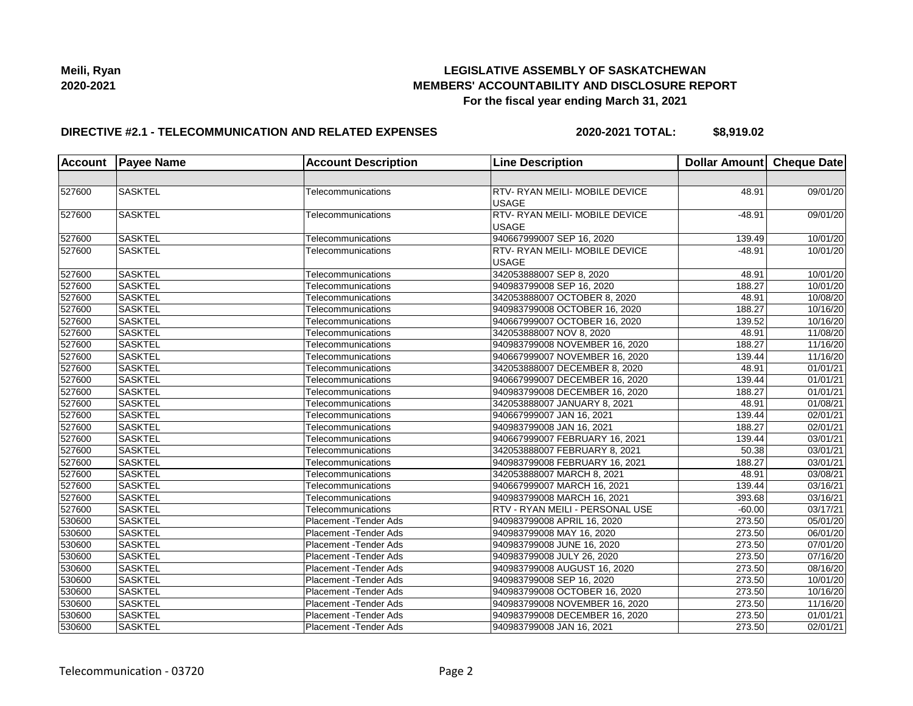

## **DIRECTIVE #2.1 - TELECOMMUNICATION AND RELATED EXPENSES**

**2020-2021 TOTAL: \$8,919.02**

| <b>Account</b> | <b>Payee Name</b> | <b>Account Description</b>    | <b>Line Description</b>         | Dollar Amount   Cheque Date |                       |
|----------------|-------------------|-------------------------------|---------------------------------|-----------------------------|-----------------------|
|                |                   |                               |                                 |                             |                       |
| 527600         | <b>SASKTEL</b>    | Telecommunications            | RTV-RYAN MEILI-MOBILE DEVICE    | 48.91                       | 09/01/20              |
|                |                   |                               | <b>USAGE</b>                    |                             |                       |
| 527600         | <b>SASKTEL</b>    | Telecommunications            | RTV- RYAN MEILI- MOBILE DEVICE  | $-48.91$                    | 09/01/20              |
|                |                   |                               | <b>USAGE</b>                    |                             |                       |
| 527600         | <b>SASKTEL</b>    | Telecommunications            | 940667999007 SEP 16, 2020       | 139.49                      | 10/01/20              |
| 527600         | <b>SASKTEL</b>    | Telecommunications            | RTV- RYAN MEILI- MOBILE DEVICE  | $-48.91$                    | 10/01/20              |
|                |                   |                               | <b>USAGE</b>                    |                             |                       |
| 527600         | <b>SASKTEL</b>    | Telecommunications            | 342053888007 SEP 8, 2020        | 48.91                       | 10/01/20              |
| 527600         | <b>SASKTEL</b>    | Telecommunications            | 940983799008 SEP 16, 2020       | 188.27                      | 10/01/20              |
| 527600         | <b>SASKTEL</b>    | Telecommunications            | 342053888007 OCTOBER 8, 2020    | 48.91                       | 10/08/20              |
| 527600         | <b>SASKTEL</b>    | Telecommunications            | 940983799008 OCTOBER 16, 2020   | 188.27                      | 10/16/20              |
| 527600         | <b>SASKTEL</b>    | Telecommunications            | 940667999007 OCTOBER 16, 2020   | 139.52                      | 10/16/20              |
| 527600         | <b>SASKTEL</b>    | Telecommunications            | 342053888007 NOV 8, 2020        | 48.91                       | 11/08/20              |
| 527600         | <b>SASKTEL</b>    | Telecommunications            | 940983799008 NOVEMBER 16, 2020  | 188.27                      | 11/16/20              |
| 527600         | <b>SASKTEL</b>    | Telecommunications            | 940667999007 NOVEMBER 16, 2020  | 139.44                      | 11/16/20              |
| 527600         | <b>SASKTEL</b>    | Telecommunications            | 342053888007 DECEMBER 8, 2020   | 48.91                       | 01/01/21              |
| 527600         | <b>SASKTEL</b>    | Telecommunications            | 940667999007 DECEMBER 16, 2020  | 139.44                      | 01/01/21              |
| 527600         | <b>SASKTEL</b>    | Telecommunications            | 940983799008 DECEMBER 16, 2020  | 188.27                      | 01/01/21              |
| 527600         | <b>SASKTEL</b>    | Telecommunications            | 342053888007 JANUARY 8, 2021    | 48.91                       | $\overline{01}/08/21$ |
| 527600         | <b>SASKTEL</b>    | Telecommunications            | 940667999007 JAN 16, 2021       | 139.44                      | 02/01/21              |
| 527600         | <b>SASKTEL</b>    | Telecommunications            | 940983799008 JAN 16, 2021       | 188.27                      | 02/01/21              |
| 527600         | <b>SASKTEL</b>    | Telecommunications            | 940667999007 FEBRUARY 16, 2021  | 139.44                      | 03/01/21              |
| 527600         | <b>SASKTEL</b>    | Telecommunications            | 342053888007 FEBRUARY 8, 2021   | 50.38                       | $\overline{03}/01/21$ |
| 527600         | <b>SASKTEL</b>    | Telecommunications            | 940983799008 FEBRUARY 16, 2021  | 188.27                      | 03/01/21              |
| 527600         | <b>SASKTEL</b>    | Telecommunications            | 342053888007 MARCH 8, 2021      | 48.91                       | 03/08/21              |
| 527600         | <b>SASKTEL</b>    | Telecommunications            | 940667999007 MARCH 16, 2021     | 139.44                      | 03/16/21              |
| 527600         | <b>SASKTEL</b>    | Telecommunications            | 940983799008 MARCH 16, 2021     | 393.68                      | 03/16/21              |
| 527600         | <b>SASKTEL</b>    | Telecommunications            | RTV - RYAN MEILI - PERSONAL USE | $-60.00$                    | 03/17/21              |
| 530600         | <b>SASKTEL</b>    | Placement - Tender Ads        | 940983799008 APRIL 16, 2020     | 273.50                      | 05/01/20              |
| 530600         | <b>SASKTEL</b>    | Placement - Tender Ads        | 940983799008 MAY 16, 2020       | 273.50                      | 06/01/20              |
| 530600         | <b>SASKTEL</b>    | Placement - Tender Ads        | 940983799008 JUNE 16, 2020      | 273.50                      | 07/01/20              |
| 530600         | <b>SASKTEL</b>    | Placement - Tender Ads        | 940983799008 JULY 26, 2020      | 273.50                      | 07/16/20              |
| 530600         | <b>SASKTEL</b>    | Placement - Tender Ads        | 940983799008 AUGUST 16, 2020    | 273.50                      | 08/16/20              |
| 530600         | <b>SASKTEL</b>    | <b>Placement - Tender Ads</b> | 940983799008 SEP 16, 2020       | 273.50                      | 10/01/20              |
| 530600         | <b>SASKTEL</b>    | <b>Placement - Tender Ads</b> | 940983799008 OCTOBER 16, 2020   | 273.50                      | 10/16/20              |
| 530600         | <b>SASKTEL</b>    | Placement - Tender Ads        | 940983799008 NOVEMBER 16, 2020  | 273.50                      | 11/16/20              |
| 530600         | <b>SASKTEL</b>    | Placement - Tender Ads        | 940983799008 DECEMBER 16, 2020  | 273.50                      | 01/01/21              |
| 530600         | <b>SASKTEL</b>    | <b>Placement - Tender Ads</b> | 940983799008 JAN 16, 2021       | 273.50                      | 02/01/21              |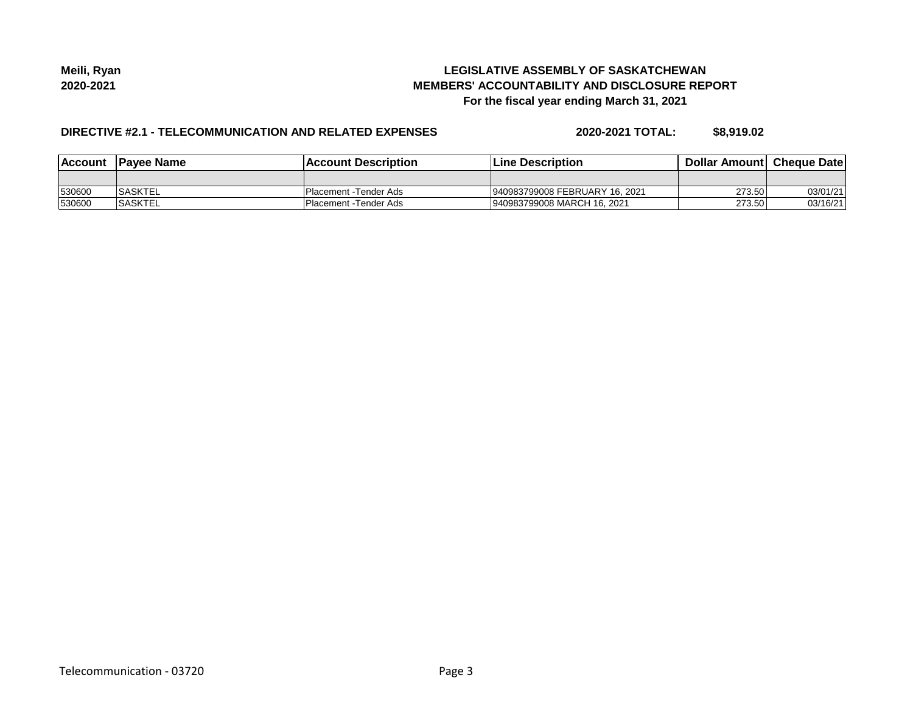

## **DIRECTIVE #2.1 - TELECOMMUNICATION AND RELATED EXPENSES**

**2020-2021 TOTAL: \$8,919.02**

| <b>Account</b> | <b>IPavee Name</b> | lAccount Description   | <b>Line Description</b>        | <b>Dollar Amountl Cheque Date</b> |          |
|----------------|--------------------|------------------------|--------------------------------|-----------------------------------|----------|
|                |                    |                        |                                |                                   |          |
| 530600         | <b>SASKTEL</b>     | IPlacement -Tender Ads | 940983799008 FEBRUARY 16, 2021 | 273.50                            | 03/01/21 |
| 530600         | <b>SASKTEL</b>     | IPlacement -Tender Ads | 940983799008 MARCH 16, 2021    | 273.50                            | 03/16/21 |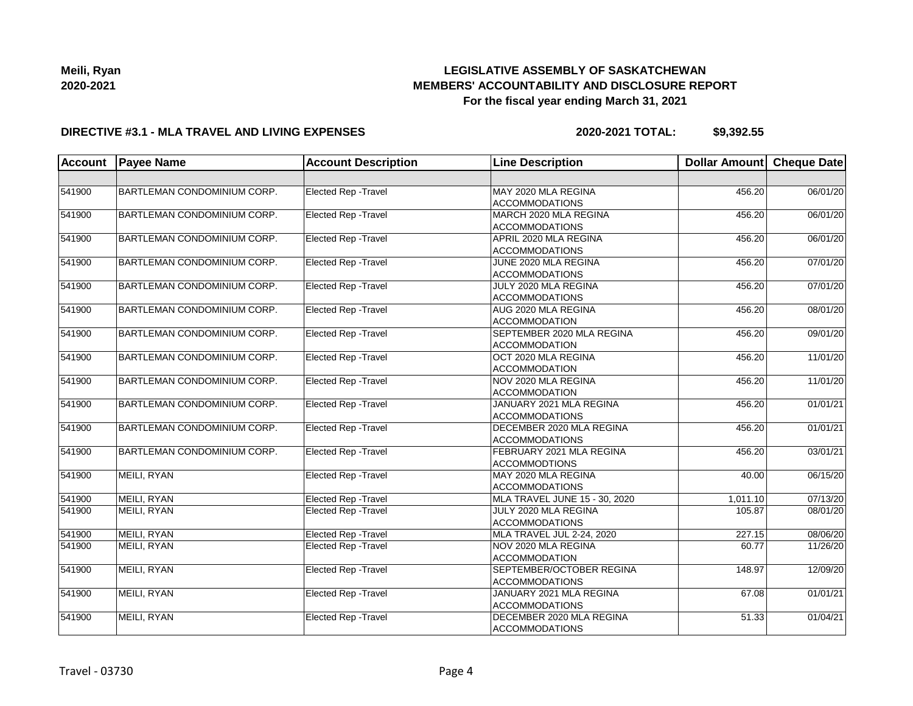

#### **DIRECTIVE #3.1 - MLA TRAVEL AND LIVING EXPENSES**

**2020-2021 TOTAL: \$9,392.55**

| <b>Account</b> | <b>Payee Name</b>                  | <b>Account Description</b>  | <b>Line Description</b>                           | Dollar Amount      | <b>Cheque Date</b> |
|----------------|------------------------------------|-----------------------------|---------------------------------------------------|--------------------|--------------------|
|                |                                    |                             |                                                   |                    |                    |
| 541900         | BARTLEMAN CONDOMINIUM CORP.        | Elected Rep - Travel        | MAY 2020 MLA REGINA<br><b>ACCOMMODATIONS</b>      | 456.20             | 06/01/20           |
| 541900         | <b>BARTLEMAN CONDOMINIUM CORP.</b> | <b>Elected Rep - Travel</b> | MARCH 2020 MLA REGINA<br><b>ACCOMMODATIONS</b>    | 456.20             | 06/01/20           |
| 541900         | BARTLEMAN CONDOMINIUM CORP.        | <b>Elected Rep - Travel</b> | APRIL 2020 MLA REGINA<br><b>ACCOMMODATIONS</b>    | 456.20             | 06/01/20           |
| 541900         | <b>BARTLEMAN CONDOMINIUM CORP.</b> | Elected Rep - Travel        | JUNE 2020 MLA REGINA<br><b>ACCOMMODATIONS</b>     | 456.20             | 07/01/20           |
| 541900         | <b>BARTLEMAN CONDOMINIUM CORP.</b> | <b>Elected Rep - Travel</b> | JULY 2020 MLA REGINA<br><b>ACCOMMODATIONS</b>     | 456.20             | 07/01/20           |
| 541900         | <b>BARTLEMAN CONDOMINIUM CORP.</b> | <b>Elected Rep - Travel</b> | AUG 2020 MLA REGINA<br><b>ACCOMMODATION</b>       | 456.20             | 08/01/20           |
| 541900         | <b>BARTLEMAN CONDOMINIUM CORP.</b> | <b>Elected Rep - Travel</b> | SEPTEMBER 2020 MLA REGINA<br><b>ACCOMMODATION</b> | 456.20             | 09/01/20           |
| 541900         | <b>BARTLEMAN CONDOMINIUM CORP.</b> | Elected Rep - Travel        | OCT 2020 MLA REGINA<br><b>ACCOMMODATION</b>       | 456.20             | 11/01/20           |
| 541900         | <b>BARTLEMAN CONDOMINIUM CORP.</b> | Elected Rep - Travel        | NOV 2020 MLA REGINA<br><b>ACCOMMODATION</b>       | 456.20             | 11/01/20           |
| 541900         | <b>BARTLEMAN CONDOMINIUM CORP.</b> | Elected Rep - Travel        | JANUARY 2021 MLA REGINA<br><b>ACCOMMODATIONS</b>  | 456.20             | 01/01/21           |
| 541900         | <b>BARTLEMAN CONDOMINIUM CORP.</b> | Elected Rep - Travel        | DECEMBER 2020 MLA REGINA<br><b>ACCOMMODATIONS</b> | 456.20             | 01/01/21           |
| 541900         | <b>BARTLEMAN CONDOMINIUM CORP.</b> | <b>Elected Rep - Travel</b> | FEBRUARY 2021 MLA REGINA<br><b>ACCOMMODTIONS</b>  | 456.20             | 03/01/21           |
| 541900         | MEILI, RYAN                        | <b>Elected Rep - Travel</b> | MAY 2020 MLA REGINA<br><b>ACCOMMODATIONS</b>      | $\overline{40.00}$ | 06/15/20           |
| 541900         | MEILI, RYAN                        | <b>Elected Rep - Travel</b> | MLA TRAVEL JUNE 15 - 30, 2020                     | 1,011.10           | 07/13/20           |
| 541900         | MEILI, RYAN                        | Elected Rep - Travel        | JULY 2020 MLA REGINA<br><b>ACCOMMODATIONS</b>     | 105.87             | 08/01/20           |
| 541900         | MEILI, RYAN                        | Elected Rep - Travel        | MLA TRAVEL JUL 2-24, 2020                         | 227.15             | 08/06/20           |
| 541900         | MEILI, RYAN                        | <b>Elected Rep - Travel</b> | NOV 2020 MLA REGINA<br><b>ACCOMMODATION</b>       | 60.77              | 11/26/20           |
| 541900         | MEILI, RYAN                        | <b>Elected Rep - Travel</b> | SEPTEMBER/OCTOBER REGINA<br><b>ACCOMMODATIONS</b> | 148.97             | 12/09/20           |
| 541900         | MEILI, RYAN                        | <b>Elected Rep - Travel</b> | JANUARY 2021 MLA REGINA<br><b>ACCOMMODATIONS</b>  | 67.08              | 01/01/21           |
| 541900         | MEILI, RYAN                        | Elected Rep - Travel        | DECEMBER 2020 MLA REGINA<br><b>ACCOMMODATIONS</b> | 51.33              | 01/04/21           |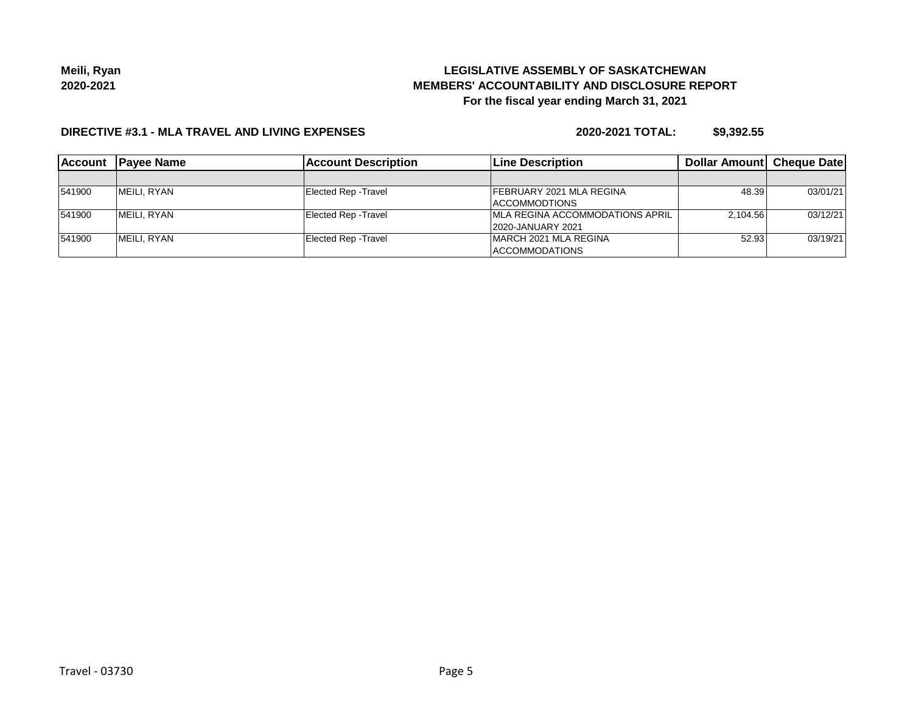**Meili, Ryan 2020-2021**

# **LEGISLATIVE ASSEMBLY OF SASKATCHEWAN MEMBERS' ACCOUNTABILITY AND DISCLOSURE REPORT For the fiscal year ending March 31, 2021**

### **DIRECTIVE #3.1 - MLA TRAVEL AND LIVING EXPENSES**

**2020-2021 TOTAL: \$9,392.55**

| <b>Account</b> | <b>IPavee Name</b> | <b>Account Description</b> | <b>ILine Description</b>                | Dollar Amount Cheque Date |          |
|----------------|--------------------|----------------------------|-----------------------------------------|---------------------------|----------|
|                |                    |                            |                                         |                           |          |
| 541900         | MEILI, RYAN        | Elected Rep - Travel       | <b>IFEBRUARY 2021 MLA REGINA</b>        | 48.39                     | 03/01/21 |
|                |                    |                            | <b>ACCOMMODTIONS</b>                    |                           |          |
| 541900         | MEILI, RYAN        | Elected Rep - Travel       | <b>IMLA REGINA ACCOMMODATIONS APRIL</b> | 2,104.56                  | 03/12/21 |
|                |                    |                            | 2020-JANUARY 2021                       |                           |          |
| 541900         | MEILI, RYAN        | Elected Rep - Travel       | IMARCH 2021 MLA REGINA                  | 52.93                     | 03/19/21 |
|                |                    |                            | <b>ACCOMMODATIONS</b>                   |                           |          |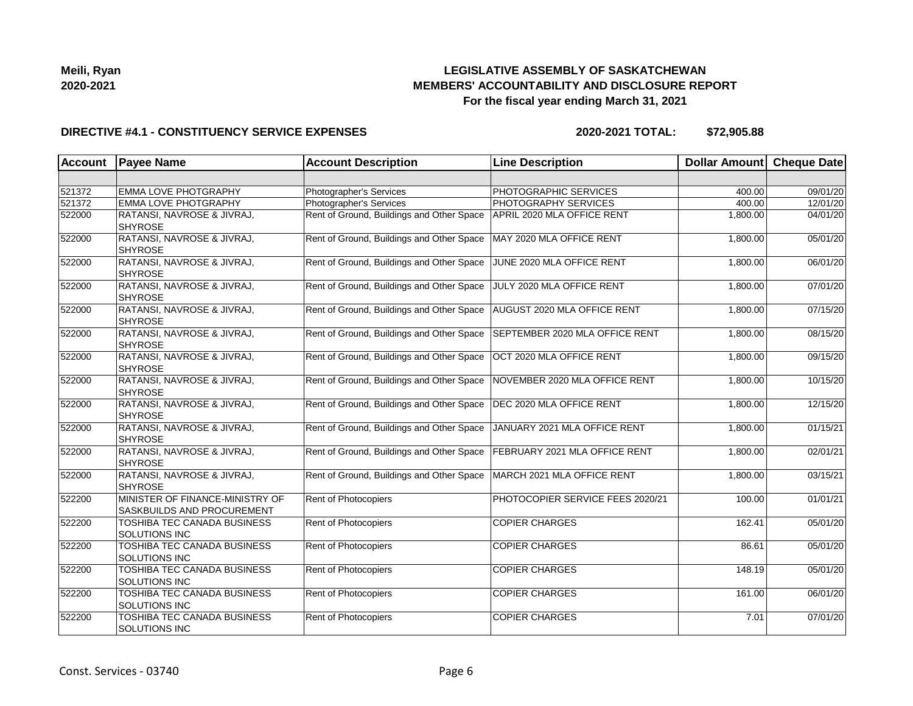

### **DIRECTIVE #4.1 - CONSTITUENCY SERVICE EXPENSES**

| <b>Account</b> | <b>Payee Name</b>                                                    | <b>Account Description</b>                | <b>Line Description</b>          | Dollar Amount | <b>Cheque Date</b> |
|----------------|----------------------------------------------------------------------|-------------------------------------------|----------------------------------|---------------|--------------------|
|                |                                                                      |                                           |                                  |               |                    |
| 521372         | <b>EMMA LOVE PHOTGRAPHY</b>                                          | Photographer's Services                   | PHOTOGRAPHIC SERVICES            | 400.00        | 09/01/20           |
| 521372         | <b>EMMA LOVE PHOTGRAPHY</b>                                          | Photographer's Services                   | PHOTOGRAPHY SERVICES             | 400.00        | 12/01/20           |
| 522000         | RATANSI, NAVROSE & JIVRAJ,<br><b>SHYROSE</b>                         | Rent of Ground, Buildings and Other Space | APRIL 2020 MLA OFFICE RENT       | 1,800.00      | 04/01/20           |
| 522000         | RATANSI, NAVROSE & JIVRAJ,<br><b>SHYROSE</b>                         | Rent of Ground, Buildings and Other Space | MAY 2020 MLA OFFICE RENT         | 1,800.00      | 05/01/20           |
| 522000         | RATANSI, NAVROSE & JIVRAJ,<br><b>SHYROSE</b>                         | Rent of Ground, Buildings and Other Space | JUNE 2020 MLA OFFICE RENT        | 1,800.00      | 06/01/20           |
| 522000         | RATANSI, NAVROSE & JIVRAJ,<br><b>SHYROSE</b>                         | Rent of Ground, Buildings and Other Space | JULY 2020 MLA OFFICE RENT        | 1,800.00      | 07/01/20           |
| 522000         | RATANSI, NAVROSE & JIVRAJ,<br><b>SHYROSE</b>                         | Rent of Ground, Buildings and Other Space | AUGUST 2020 MLA OFFICE RENT      | 1,800.00      | 07/15/20           |
| 522000         | RATANSI, NAVROSE & JIVRAJ,<br><b>SHYROSE</b>                         | Rent of Ground, Buildings and Other Space | SEPTEMBER 2020 MLA OFFICE RENT   | 1,800.00      | 08/15/20           |
| 522000         | RATANSI, NAVROSE & JIVRAJ,<br><b>SHYROSE</b>                         | Rent of Ground, Buildings and Other Space | OCT 2020 MLA OFFICE RENT         | 1,800.00      | 09/15/20           |
| 522000         | RATANSI, NAVROSE & JIVRAJ,<br><b>SHYROSE</b>                         | Rent of Ground, Buildings and Other Space | NOVEMBER 2020 MLA OFFICE RENT    | 1,800.00      | 10/15/20           |
| 522000         | RATANSI, NAVROSE & JIVRAJ,<br><b>SHYROSE</b>                         | Rent of Ground, Buildings and Other Space | DEC 2020 MLA OFFICE RENT         | 1,800.00      | 12/15/20           |
| 522000         | RATANSI, NAVROSE & JIVRAJ,<br><b>SHYROSE</b>                         | Rent of Ground, Buildings and Other Space | JANUARY 2021 MLA OFFICE RENT     | 1,800.00      | 01/15/21           |
| 522000         | RATANSI, NAVROSE & JIVRAJ,<br><b>SHYROSE</b>                         | Rent of Ground, Buildings and Other Space | FEBRUARY 2021 MLA OFFICE RENT    | 1,800.00      | 02/01/21           |
| 522000         | RATANSI, NAVROSE & JIVRAJ,<br><b>SHYROSE</b>                         | Rent of Ground, Buildings and Other Space | MARCH 2021 MLA OFFICE RENT       | 1,800.00      | 03/15/21           |
| 522200         | MINISTER OF FINANCE-MINISTRY OF<br><b>SASKBUILDS AND PROCUREMENT</b> | <b>Rent of Photocopiers</b>               | PHOTOCOPIER SERVICE FEES 2020/21 | 100.00        | 01/01/21           |
| 522200         | <b>TOSHIBA TEC CANADA BUSINESS</b><br><b>SOLUTIONS INC</b>           | Rent of Photocopiers                      | <b>COPIER CHARGES</b>            | 162.41        | 05/01/20           |
| 522200         | TOSHIBA TEC CANADA BUSINESS<br><b>SOLUTIONS INC</b>                  | <b>Rent of Photocopiers</b>               | <b>COPIER CHARGES</b>            | 86.61         | 05/01/20           |
| 522200         | TOSHIBA TEC CANADA BUSINESS<br><b>SOLUTIONS INC</b>                  | <b>Rent of Photocopiers</b>               | <b>COPIER CHARGES</b>            | 148.19        | 05/01/20           |
| 522200         | TOSHIBA TEC CANADA BUSINESS<br>SOLUTIONS INC                         | Rent of Photocopiers                      | <b>COPIER CHARGES</b>            | 161.00        | 06/01/20           |
| 522200         | TOSHIBA TEC CANADA BUSINESS<br>SOLUTIONS INC                         | Rent of Photocopiers                      | <b>COPIER CHARGES</b>            | 7.01          | 07/01/20           |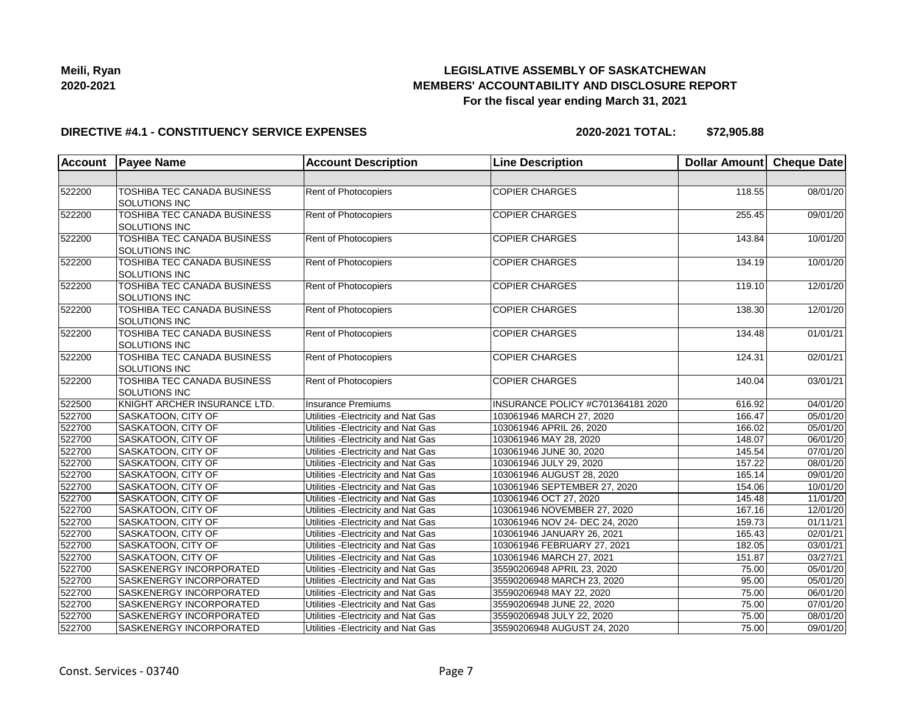

### **DIRECTIVE #4.1 - CONSTITUENCY SERVICE EXPENSES**

| <b>Account</b> | <b>Payee Name</b>                                   | <b>Account Description</b>          | <b>Line Description</b>           | Dollar Amount Cheque Date |          |
|----------------|-----------------------------------------------------|-------------------------------------|-----------------------------------|---------------------------|----------|
|                |                                                     |                                     |                                   |                           |          |
| 522200         | TOSHIBA TEC CANADA BUSINESS<br><b>SOLUTIONS INC</b> | Rent of Photocopiers                | <b>COPIER CHARGES</b>             | 118.55                    | 08/01/20 |
| 522200         | TOSHIBA TEC CANADA BUSINESS<br>SOLUTIONS INC        | Rent of Photocopiers                | <b>COPIER CHARGES</b>             | 255.45                    | 09/01/20 |
| 522200         | <b>TOSHIBA TEC CANADA BUSINESS</b><br>SOLUTIONS INC | Rent of Photocopiers                | <b>COPIER CHARGES</b>             | 143.84                    | 10/01/20 |
| 522200         | TOSHIBA TEC CANADA BUSINESS<br>SOLUTIONS INC        | Rent of Photocopiers                | <b>COPIER CHARGES</b>             | 134.19                    | 10/01/20 |
| 522200         | TOSHIBA TEC CANADA BUSINESS<br>SOLUTIONS INC        | Rent of Photocopiers                | <b>COPIER CHARGES</b>             | 119.10                    | 12/01/20 |
| 522200         | TOSHIBA TEC CANADA BUSINESS<br>SOLUTIONS INC        | Rent of Photocopiers                | <b>COPIER CHARGES</b>             | 138.30                    | 12/01/20 |
| 522200         | TOSHIBA TEC CANADA BUSINESS<br>SOLUTIONS INC        | Rent of Photocopiers                | <b>COPIER CHARGES</b>             | 134.48                    | 01/01/21 |
| 522200         | TOSHIBA TEC CANADA BUSINESS<br>SOLUTIONS INC        | Rent of Photocopiers                | <b>COPIER CHARGES</b>             | 124.31                    | 02/01/21 |
| 522200         | TOSHIBA TEC CANADA BUSINESS<br>SOLUTIONS INC        | Rent of Photocopiers                | <b>COPIER CHARGES</b>             | 140.04                    | 03/01/21 |
| 522500         | KNIGHT ARCHER INSURANCE LTD.                        | Insurance Premiums                  | INSURANCE POLICY #C701364181 2020 | 616.92                    | 04/01/20 |
| 522700         | SASKATOON, CITY OF                                  | Utilities - Electricity and Nat Gas | 103061946 MARCH 27, 2020          | 166.47                    | 05/01/20 |
| 522700         | SASKATOON, CITY OF                                  | Utilities - Electricity and Nat Gas | 103061946 APRIL 26, 2020          | 166.02                    | 05/01/20 |
| 522700         | SASKATOON, CITY OF                                  | Utilities - Electricity and Nat Gas | 103061946 MAY 28, 2020            | 148.07                    | 06/01/20 |
| 522700         | SASKATOON, CITY OF                                  | Utilities - Electricity and Nat Gas | 103061946 JUNE 30, 2020           | 145.54                    | 07/01/20 |
| 522700         | SASKATOON, CITY OF                                  | Utilities - Electricity and Nat Gas | 103061946 JULY 29, 2020           | 157.22                    | 08/01/20 |
| 522700         | SASKATOON, CITY OF                                  | Utilities - Electricity and Nat Gas | 103061946 AUGUST 28, 2020         | 165.14                    | 09/01/20 |
| 522700         | SASKATOON, CITY OF                                  | Utilities - Electricity and Nat Gas | 103061946 SEPTEMBER 27, 2020      | 154.06                    | 10/01/20 |
| 522700         | SASKATOON, CITY OF                                  | Utilities - Electricity and Nat Gas | 103061946 OCT 27, 2020            | 145.48                    | 11/01/20 |
| 522700         | SASKATOON, CITY OF                                  | Utilities - Electricity and Nat Gas | 103061946 NOVEMBER 27, 2020       | 167.16                    | 12/01/20 |
| 522700         | SASKATOON, CITY OF                                  | Utilities - Electricity and Nat Gas | 103061946 NOV 24- DEC 24, 2020    | 159.73                    | 01/11/21 |
| 522700         | SASKATOON, CITY OF                                  | Utilities - Electricity and Nat Gas | 103061946 JANUARY 26, 2021        | 165.43                    | 02/01/21 |
| 522700         | SASKATOON, CITY OF                                  | Utilities - Electricity and Nat Gas | 103061946 FEBRUARY 27, 2021       | 182.05                    | 03/01/21 |
| 522700         | SASKATOON, CITY OF                                  | Utilities - Electricity and Nat Gas | 103061946 MARCH 27, 2021          | 151.87                    | 03/27/21 |
| 522700         | SASKENERGY INCORPORATED                             | Utilities - Electricity and Nat Gas | 35590206948 APRIL 23, 2020        | 75.00                     | 05/01/20 |
| 522700         | SASKENERGY INCORPORATED                             | Utilities - Electricity and Nat Gas | 35590206948 MARCH 23, 2020        | 95.00                     | 05/01/20 |
| 522700         | SASKENERGY INCORPORATED                             | Utilities - Electricity and Nat Gas | 35590206948 MAY 22, 2020          | 75.00                     | 06/01/20 |
| 522700         | SASKENERGY INCORPORATED                             | Utilities - Electricity and Nat Gas | 35590206948 JUNE 22, 2020         | 75.00                     | 07/01/20 |
| 522700         | SASKENERGY INCORPORATED                             | Utilities - Electricity and Nat Gas | 35590206948 JULY 22, 2020         | 75.00                     | 08/01/20 |
| 522700         | SASKENERGY INCORPORATED                             | Utilities - Electricity and Nat Gas | 35590206948 AUGUST 24, 2020       | 75.00                     | 09/01/20 |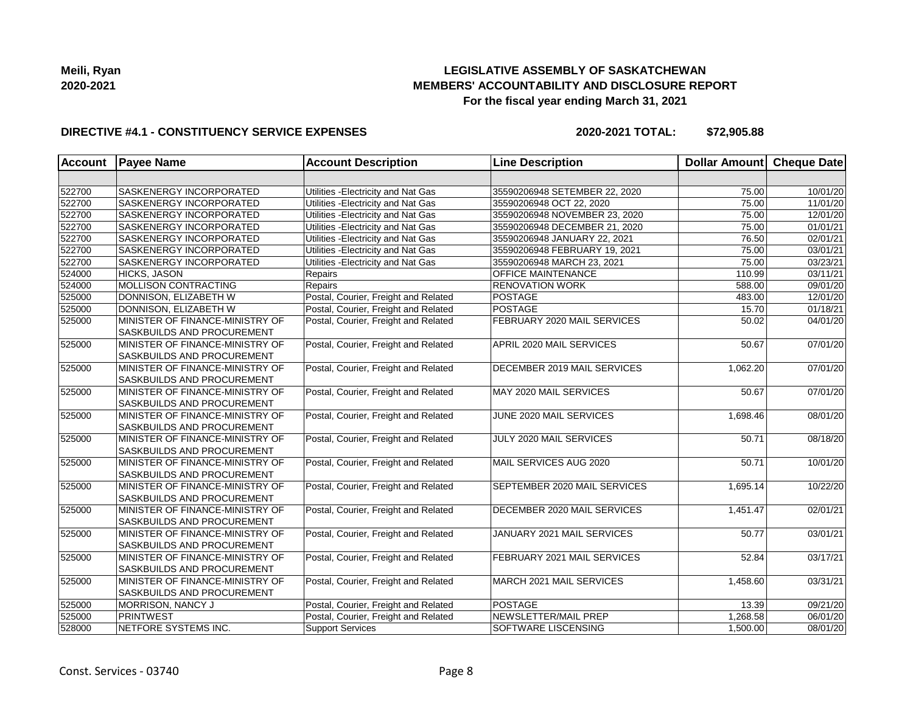

### **DIRECTIVE #4.1 - CONSTITUENCY SERVICE EXPENSES**

| <b>Account</b> | <b>Payee Name</b>                                                    | <b>Account Description</b>           | <b>Line Description</b>             | Dollar Amount Cheque Date |          |
|----------------|----------------------------------------------------------------------|--------------------------------------|-------------------------------------|---------------------------|----------|
|                |                                                                      |                                      |                                     |                           |          |
| 522700         | <b>SASKENERGY INCORPORATED</b>                                       | Utilities - Electricity and Nat Gas  | 35590206948 SETEMBER 22, 2020       | 75.00                     | 10/01/20 |
| 522700         | <b>SASKENERGY INCORPORATED</b>                                       | Utilities - Electricity and Nat Gas  | 35590206948 OCT 22, 2020            | 75.00                     | 11/01/20 |
| 522700         | <b>SASKENERGY INCORPORATED</b>                                       | Utilities - Electricity and Nat Gas  | 35590206948 NOVEMBER 23, 2020       | 75.00                     | 12/01/20 |
| 522700         | <b>SASKENERGY INCORPORATED</b>                                       | Utilities - Electricity and Nat Gas  | 35590206948 DECEMBER 21, 2020       | 75.00                     | 01/01/21 |
| 522700         | <b>SASKENERGY INCORPORATED</b>                                       | Utilities - Electricity and Nat Gas  | 35590206948 JANUARY 22, 2021        | 76.50                     | 02/01/21 |
| 522700         | <b>SASKENERGY INCORPORATED</b>                                       | Utilities - Electricity and Nat Gas  | 35590206948 FEBRUARY 19, 2021       | 75.00                     | 03/01/21 |
| 522700         | <b>SASKENERGY INCORPORATED</b>                                       | Utilities - Electricity and Nat Gas  | 35590206948 MARCH 23, 2021          | 75.00                     | 03/23/21 |
| 524000         | <b>HICKS, JASON</b>                                                  | Repairs                              | <b>OFFICE MAINTENANCE</b>           | 110.99                    | 03/11/21 |
| 524000         | <b>MOLLISON CONTRACTING</b>                                          | Repairs                              | <b>RENOVATION WORK</b>              | 588.00                    | 09/01/20 |
| 525000         | DONNISON, ELIZABETH W                                                | Postal, Courier, Freight and Related | <b>POSTAGE</b>                      | 483.00                    | 12/01/20 |
| 525000         | DONNISON, ELIZABETH W                                                | Postal, Courier, Freight and Related | POSTAGE                             | 15.70                     | 01/18/21 |
| 525000         | MINISTER OF FINANCE-MINISTRY OF<br><b>SASKBUILDS AND PROCUREMENT</b> | Postal, Courier, Freight and Related | FEBRUARY 2020 MAIL SERVICES         | 50.02                     | 04/01/20 |
| 525000         | MINISTER OF FINANCE-MINISTRY OF<br><b>SASKBUILDS AND PROCUREMENT</b> | Postal, Courier, Freight and Related | APRIL 2020 MAIL SERVICES            | 50.67                     | 07/01/20 |
| 525000         | MINISTER OF FINANCE-MINISTRY OF<br><b>SASKBUILDS AND PROCUREMENT</b> | Postal, Courier, Freight and Related | DECEMBER 2019 MAIL SERVICES         | 1,062.20                  | 07/01/20 |
| 525000         | MINISTER OF FINANCE-MINISTRY OF<br><b>SASKBUILDS AND PROCUREMENT</b> | Postal, Courier, Freight and Related | MAY 2020 MAIL SERVICES              | 50.67                     | 07/01/20 |
| 525000         | MINISTER OF FINANCE-MINISTRY OF<br><b>SASKBUILDS AND PROCUREMENT</b> | Postal, Courier, Freight and Related | JUNE 2020 MAIL SERVICES             | 1,698.46                  | 08/01/20 |
| 525000         | MINISTER OF FINANCE-MINISTRY OF<br><b>SASKBUILDS AND PROCUREMENT</b> | Postal, Courier, Freight and Related | JULY 2020 MAIL SERVICES             | 50.71                     | 08/18/20 |
| 525000         | MINISTER OF FINANCE-MINISTRY OF<br><b>SASKBUILDS AND PROCUREMENT</b> | Postal, Courier, Freight and Related | MAIL SERVICES AUG 2020              | 50.71                     | 10/01/20 |
| 525000         | MINISTER OF FINANCE-MINISTRY OF<br><b>SASKBUILDS AND PROCUREMENT</b> | Postal, Courier, Freight and Related | <b>SEPTEMBER 2020 MAIL SERVICES</b> | 1,695.14                  | 10/22/20 |
| 525000         | MINISTER OF FINANCE-MINISTRY OF<br><b>SASKBUILDS AND PROCUREMENT</b> | Postal, Courier, Freight and Related | DECEMBER 2020 MAIL SERVICES         | 1,451.47                  | 02/01/21 |
| 525000         | MINISTER OF FINANCE-MINISTRY OF<br><b>SASKBUILDS AND PROCUREMENT</b> | Postal, Courier, Freight and Related | JANUARY 2021 MAIL SERVICES          | 50.77                     | 03/01/21 |
| 525000         | MINISTER OF FINANCE-MINISTRY OF<br><b>SASKBUILDS AND PROCUREMENT</b> | Postal, Courier, Freight and Related | FEBRUARY 2021 MAIL SERVICES         | 52.84                     | 03/17/21 |
| 525000         | MINISTER OF FINANCE-MINISTRY OF<br><b>SASKBUILDS AND PROCUREMENT</b> | Postal, Courier, Freight and Related | MARCH 2021 MAIL SERVICES            | 1,458.60                  | 03/31/21 |
| 525000         | MORRISON, NANCY J                                                    | Postal, Courier, Freight and Related | POSTAGE                             | 13.39                     | 09/21/20 |
| 525000         | PRINTWEST                                                            | Postal, Courier, Freight and Related | NEWSLETTER/MAIL PREP                | 1,268.58                  | 06/01/20 |
| 528000         | NETFORE SYSTEMS INC.                                                 | <b>Support Services</b>              | <b>SOFTWARE LISCENSING</b>          | 1,500.00                  | 08/01/20 |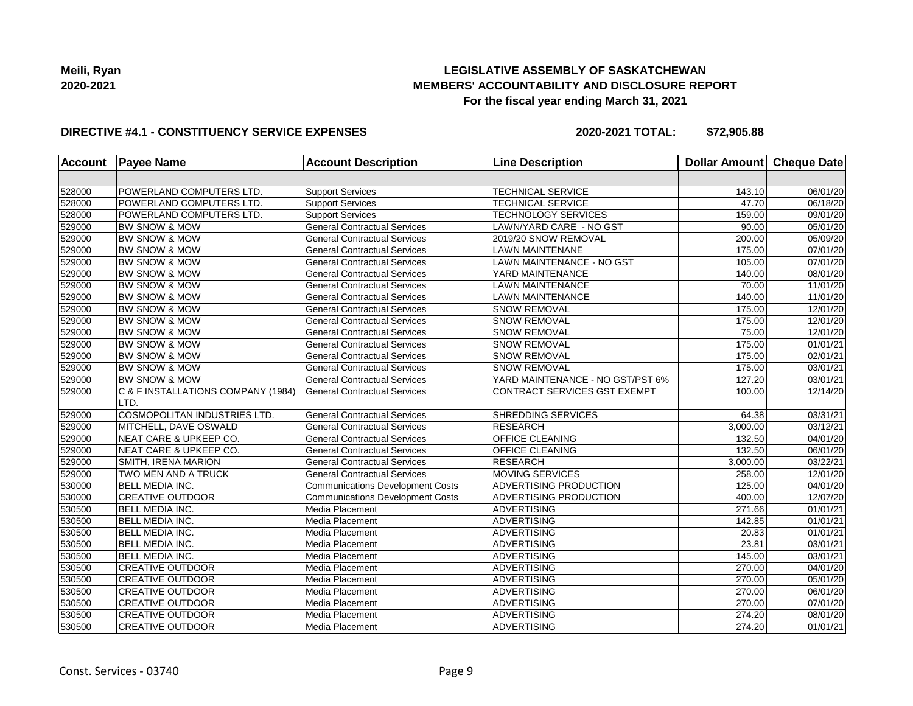

#### **DIRECTIVE #4.1 - CONSTITUENCY SERVICE EXPENSES**

| <b>Account</b> | <b>Payee Name</b>                   | <b>Account Description</b>              | <b>Line Description</b>          | <b>Dollar Amount</b> | <b>Cheque Date</b>    |
|----------------|-------------------------------------|-----------------------------------------|----------------------------------|----------------------|-----------------------|
|                |                                     |                                         |                                  |                      |                       |
| 528000         | POWERLAND COMPUTERS LTD.            | <b>Support Services</b>                 | TECHNICAL SERVICE                | 143.10               | 06/01/20              |
| 528000         | POWERLAND COMPUTERS LTD.            | <b>Support Services</b>                 | <b>TECHNICAL SERVICE</b>         | 47.70                | 06/18/20              |
| 528000         | POWERLAND COMPUTERS LTD.            | <b>Support Services</b>                 | <b>TECHNOLOGY SERVICES</b>       | 159.00               | 09/01/20              |
| 529000         | <b>BW SNOW &amp; MOW</b>            | <b>General Contractual Services</b>     | LAWN/YARD CARE - NO GST          | 90.00                | 05/01/20              |
| 529000         | <b>BW SNOW &amp; MOW</b>            | <b>General Contractual Services</b>     | 2019/20 SNOW REMOVAL             | 200.00               | 05/09/20              |
| 529000         | <b>BW SNOW &amp; MOW</b>            | <b>General Contractual Services</b>     | LAWN MAINTENANE                  | 175.00               | 07/01/20              |
| 529000         | <b>BW SNOW &amp; MOW</b>            | <b>General Contractual Services</b>     | LAWN MAINTENANCE - NO GST        | 105.00               | 07/01/20              |
| 529000         | <b>BW SNOW &amp; MOW</b>            | <b>General Contractual Services</b>     | YARD MAINTENANCE                 | 140.00               | 08/01/20              |
| 529000         | <b>BW SNOW &amp; MOW</b>            | <b>General Contractual Services</b>     | <b>LAWN MAINTENANCE</b>          | 70.00                | 11/01/20              |
| 529000         | <b>BW SNOW &amp; MOW</b>            | <b>General Contractual Services</b>     | <b>LAWN MAINTENANCE</b>          | 140.00               | 11/01/20              |
| 529000         | <b>BW SNOW &amp; MOW</b>            | <b>General Contractual Services</b>     | <b>SNOW REMOVAL</b>              | 175.00               | 12/01/20              |
| 529000         | <b>BW SNOW &amp; MOW</b>            | <b>General Contractual Services</b>     | <b>SNOW REMOVAL</b>              | 175.00               | 12/01/20              |
| 529000         | <b>BW SNOW &amp; MOW</b>            | <b>General Contractual Services</b>     | SNOW REMOVAL                     | 75.00                | 12/01/20              |
| 529000         | <b>BW SNOW &amp; MOW</b>            | <b>General Contractual Services</b>     | <b>SNOW REMOVAL</b>              | 175.00               | 01/01/21              |
| 529000         | <b>BW SNOW &amp; MOW</b>            | <b>General Contractual Services</b>     | <b>SNOW REMOVAL</b>              | 175.00               | 02/01/21              |
| 529000         | <b>BW SNOW &amp; MOW</b>            | <b>General Contractual Services</b>     | <b>SNOW REMOVAL</b>              | 175.00               | 03/01/21              |
| 529000         | <b>BW SNOW &amp; MOW</b>            | <b>General Contractual Services</b>     | YARD MAINTENANCE - NO GST/PST 6% | 127.20               | 03/01/21              |
| 529000         | C & F INSTALLATIONS COMPANY (1984)  | <b>General Contractual Services</b>     | CONTRACT SERVICES GST EXEMPT     | 100.00               | 12/14/20              |
|                | LTD.                                |                                         |                                  |                      |                       |
| 529000         | <b>COSMOPOLITAN INDUSTRIES LTD.</b> | <b>General Contractual Services</b>     | <b>SHREDDING SERVICES</b>        | 64.38                | 03/31/21              |
| 529000         | MITCHELL, DAVE OSWALD               | <b>General Contractual Services</b>     | <b>RESEARCH</b>                  | 3,000.00             | 03/12/21              |
| 529000         | NEAT CARE & UPKEEP CO.              | <b>General Contractual Services</b>     | <b>OFFICE CLEANING</b>           | 132.50               | 04/01/20              |
| 529000         | <b>NEAT CARE &amp; UPKEEP CO.</b>   | <b>General Contractual Services</b>     | OFFICE CLEANING                  | 132.50               | 06/01/20              |
| 529000         | SMITH, IRENA MARION                 | <b>General Contractual Services</b>     | <b>RESEARCH</b>                  | 3,000.00             | 03/22/21              |
| 529000         | TWO MEN AND A TRUCK                 | <b>General Contractual Services</b>     | <b>MOVING SERVICES</b>           | 258.00               | 12/01/20              |
| 530000         | <b>BELL MEDIA INC.</b>              | <b>Communications Development Costs</b> | <b>ADVERTISING PRODUCTION</b>    | 125.00               | 04/01/20              |
| 530000         | <b>CREATIVE OUTDOOR</b>             | <b>Communications Development Costs</b> | ADVERTISING PRODUCTION           | 400.00               | 12/07/20              |
| 530500         | <b>BELL MEDIA INC.</b>              | Media Placement                         | <b>ADVERTISING</b>               | 271.66               | 01/01/21              |
| 530500         | <b>BELL MEDIA INC.</b>              | Media Placement                         | <b>ADVERTISING</b>               | 142.85               | 01/01/21              |
| 530500         | <b>BELL MEDIA INC.</b>              | Media Placement                         | <b>ADVERTISING</b>               | 20.83                | $\overline{01/0}1/21$ |
| 530500         | <b>BELL MEDIA INC.</b>              | Media Placement                         | <b>ADVERTISING</b>               | 23.81                | $\overline{03}/01/21$ |
| 530500         | <b>BELL MEDIA INC.</b>              | Media Placement                         | <b>ADVERTISING</b>               | 145.00               | 03/01/21              |
| 530500         | <b>CREATIVE OUTDOOR</b>             | Media Placement                         | <b>ADVERTISING</b>               | 270.00               | 04/01/20              |
| 530500         | <b>CREATIVE OUTDOOR</b>             | Media Placement                         | <b>ADVERTISING</b>               | 270.00               | 05/01/20              |
| 530500         | <b>CREATIVE OUTDOOR</b>             | Media Placement                         | <b>ADVERTISING</b>               | 270.00               | 06/01/20              |
| 530500         | <b>CREATIVE OUTDOOR</b>             | Media Placement                         | <b>ADVERTISING</b>               | 270.00               | 07/01/20              |
| 530500         | <b>CREATIVE OUTDOOR</b>             | Media Placement                         | <b>ADVERTISING</b>               | 274.20               | 08/01/20              |
| 530500         | <b>CREATIVE OUTDOOR</b>             | Media Placement                         | <b>ADVERTISING</b>               | 274.20               | 01/01/21              |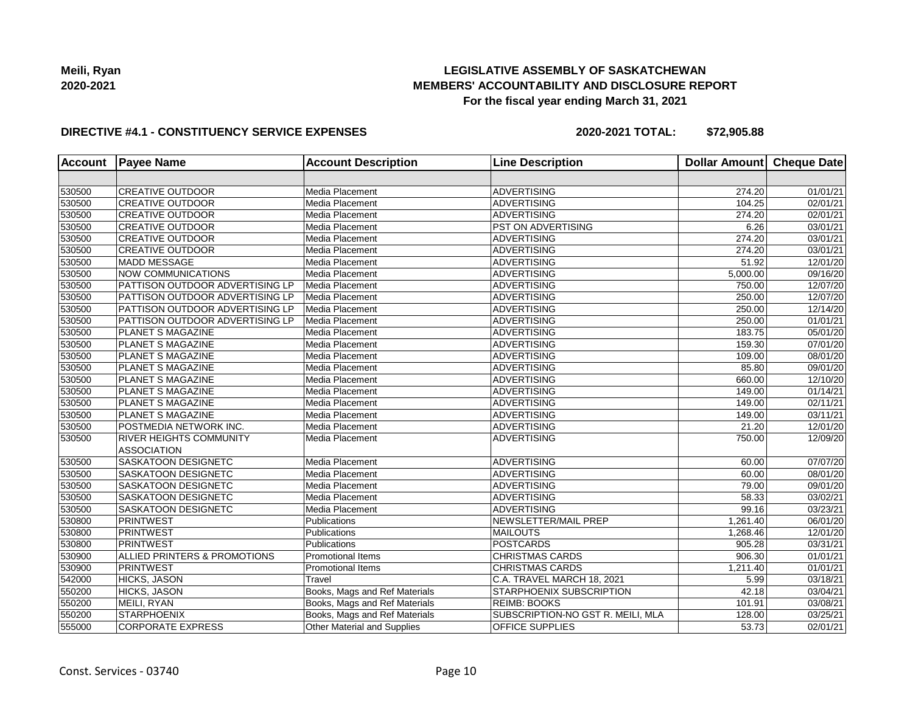

### **DIRECTIVE #4.1 - CONSTITUENCY SERVICE EXPENSES**

| <b>Account</b> | <b>Payee Name</b>                      | <b>Account Description</b>    | <b>Line Description</b>           | Dollar Amount | <b>Cheque Date</b>    |
|----------------|----------------------------------------|-------------------------------|-----------------------------------|---------------|-----------------------|
|                |                                        |                               |                                   |               |                       |
| 530500         | <b>CREATIVE OUTDOOR</b>                | Media Placement               | <b>ADVERTISING</b>                | 274.20        | 01/01/21              |
| 530500         | <b>CREATIVE OUTDOOR</b>                | Media Placement               | <b>ADVERTISING</b>                | 104.25        | $\overline{02/0}1/21$ |
| 530500         | <b>CREATIVE OUTDOOR</b>                | Media Placement               | <b>ADVERTISING</b>                | 274.20        | $\overline{02/0}1/21$ |
| 530500         | <b>CREATIVE OUTDOOR</b>                | Media Placement               | <b>PST ON ADVERTISING</b>         | 6.26          | 03/01/21              |
| 530500         | <b>CREATIVE OUTDOOR</b>                | Media Placement               | <b>ADVERTISING</b>                | 274.20        | 03/01/21              |
| 530500         | <b>CREATIVE OUTDOOR</b>                | Media Placement               | <b>ADVERTISING</b>                | 274.20        | 03/01/21              |
| 530500         | <b>MADD MESSAGE</b>                    | Media Placement               | <b>ADVERTISING</b>                | 51.92         | 12/01/20              |
| 530500         | <b>NOW COMMUNICATIONS</b>              | Media Placement               | <b>ADVERTISING</b>                | 5,000.00      | 09/16/20              |
| 530500         | <b>PATTISON OUTDOOR ADVERTISING LP</b> | Media Placement               | <b>ADVERTISING</b>                | 750.00        | 12/07/20              |
| 530500         | PATTISON OUTDOOR ADVERTISING LP        | Media Placement               | ADVERTISING                       | 250.00        | 12/07/20              |
| 530500         | <b>PATTISON OUTDOOR ADVERTISING LP</b> | Media Placement               | <b>ADVERTISING</b>                | 250.00        | 12/14/20              |
| 530500         | PATTISON OUTDOOR ADVERTISING LP        | Media Placement               | <b>ADVERTISING</b>                | 250.00        | 01/01/21              |
| 530500         | <b>PLANET S MAGAZINE</b>               | Media Placement               | <b>ADVERTISING</b>                | 183.75        | 05/01/20              |
| 530500         | PLANET S MAGAZINE                      | Media Placement               | <b>ADVERTISING</b>                | 159.30        | 07/01/20              |
| 530500         | <b>PLANET S MAGAZINE</b>               | Media Placement               | <b>ADVERTISING</b>                | 109.00        | 08/01/20              |
| 530500         | <b>PLANET S MAGAZINE</b>               | Media Placement               | ADVERTISING                       | 85.80         | 09/01/20              |
| 530500         | <b>PLANET S MAGAZINE</b>               | Media Placement               | <b>ADVERTISING</b>                | 660.00        | 12/10/20              |
| 530500         | PLANET S MAGAZINE                      | Media Placement               | <b>ADVERTISING</b>                | 149.00        | 01/14/21              |
| 530500         | <b>PLANET S MAGAZINE</b>               | Media Placement               | <b>ADVERTISING</b>                | 149.00        | 02/11/21              |
| 530500         | PLANET S MAGAZINE                      | Media Placement               | <b>ADVERTISING</b>                | 149.00        | 03/11/21              |
| 530500         | POSTMEDIA NETWORK INC.                 | Media Placement               | <b>ADVERTISING</b>                | 21.20         | 12/01/20              |
| 530500         | <b>RIVER HEIGHTS COMMUNITY</b>         | Media Placement               | ADVERTISING                       | 750.00        | 12/09/20              |
|                | <b>ASSOCIATION</b>                     |                               |                                   |               |                       |
| 530500         | SASKATOON DESIGNETC                    | Media Placement               | <b>ADVERTISING</b>                | 60.00         | 07/07/20              |
| 530500         | SASKATOON DESIGNETC                    | Media Placement               | <b>ADVERTISING</b>                | 60.00         | 08/01/20              |
| 530500         | <b>SASKATOON DESIGNETC</b>             | Media Placement               | <b>ADVERTISING</b>                | 79.00         | 09/01/20              |
| 530500         | SASKATOON DESIGNETC                    | Media Placement               | <b>ADVERTISING</b>                | 58.33         | 03/02/21              |
| 530500         | <b>SASKATOON DESIGNETC</b>             | Media Placement               | <b>ADVERTISING</b>                | 99.16         | 03/23/21              |
| 530800         | PRINTWEST                              | Publications                  | NEWSLETTER/MAIL PREP              | 1,261.40      | 06/01/20              |
| 530800         | <b>PRINTWEST</b>                       | Publications                  | MAILOUTS                          | 1,268.46      | 12/01/20              |
| 530800         | PRINTWEST                              | Publications                  | <b>POSTCARDS</b>                  | 905.28        | 03/31/21              |
| 530900         | ALLIED PRINTERS & PROMOTIONS           | <b>Promotional Items</b>      | <b>CHRISTMAS CARDS</b>            | 906.30        | $\overline{01}/01/21$ |
| 530900         | PRINTWEST                              | Promotional Items             | <b>CHRISTMAS CARDS</b>            | 1,211.40      | 01/01/21              |
| 542000         | <b>HICKS, JASON</b>                    | Travel                        | C.A. TRAVEL MARCH 18, 2021        | 5.99          | 03/18/21              |
| 550200         | <b>HICKS, JASON</b>                    | Books, Mags and Ref Materials | STARPHOENIX SUBSCRIPTION          | 42.18         | 03/04/21              |
| 550200         | MEILI, RYAN                            | Books, Mags and Ref Materials | <b>REIMB: BOOKS</b>               | 101.91        | 03/08/21              |
| 550200         | <b>STARPHOENIX</b>                     | Books, Mags and Ref Materials | SUBSCRIPTION-NO GST R. MEILI, MLA | 128.00        | $\overline{03/2}5/21$ |
| 555000         | <b>CORPORATE EXPRESS</b>               | Other Material and Supplies   | OFFICE SUPPLIES                   | 53.73         | 02/01/21              |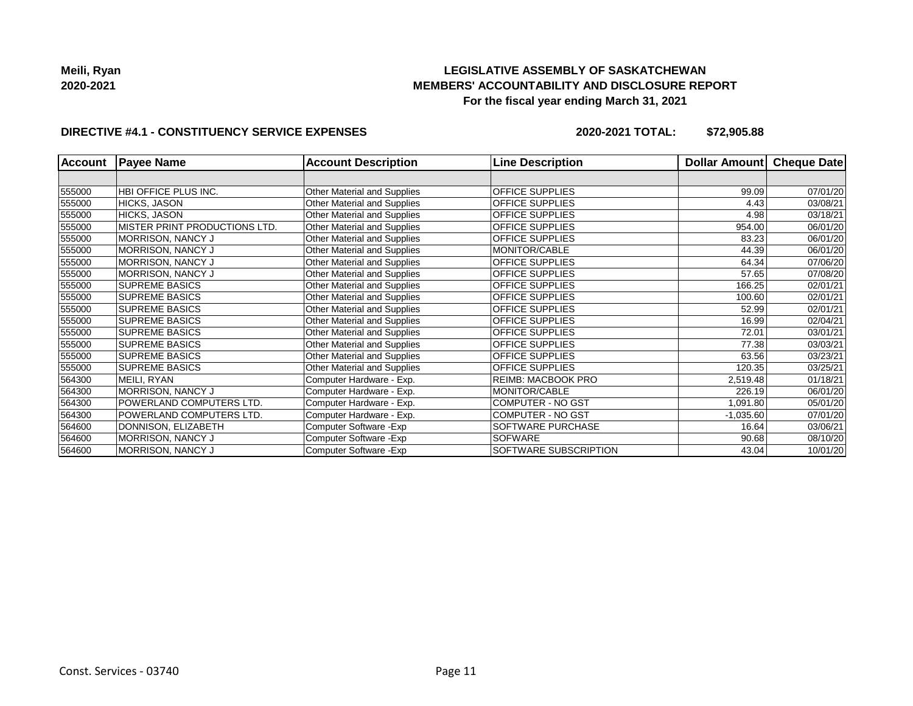

### **DIRECTIVE #4.1 - CONSTITUENCY SERVICE EXPENSES**

| <b>Account</b> | <b>Payee Name</b>             | <b>Account Description</b>  | <b>Line Description</b>   | Dollar Amount | Cheque Date |
|----------------|-------------------------------|-----------------------------|---------------------------|---------------|-------------|
|                |                               |                             |                           |               |             |
| 555000         | HBI OFFICE PLUS INC.          | Other Material and Supplies | <b>OFFICE SUPPLIES</b>    | 99.09         | 07/01/20    |
| 555000         | HICKS, JASON                  | Other Material and Supplies | <b>OFFICE SUPPLIES</b>    | 4.43          | 03/08/21    |
| 555000         | HICKS, JASON                  | Other Material and Supplies | <b>OFFICE SUPPLIES</b>    | 4.98          | 03/18/21    |
| 555000         | MISTER PRINT PRODUCTIONS LTD. | Other Material and Supplies | OFFICE SUPPLIES           | 954.00        | 06/01/20    |
| 555000         | MORRISON, NANCY J             | Other Material and Supplies | OFFICE SUPPLIES           | 83.23         | 06/01/20    |
| 555000         | MORRISON, NANCY J             | Other Material and Supplies | MONITOR/CABLE             | 44.39         | 06/01/20    |
| 555000         | MORRISON, NANCY J             | Other Material and Supplies | <b>OFFICE SUPPLIES</b>    | 64.34         | 07/06/20    |
| 555000         | MORRISON, NANCY J             | Other Material and Supplies | <b>OFFICE SUPPLIES</b>    | 57.65         | 07/08/20    |
| 555000         | <b>SUPREME BASICS</b>         | Other Material and Supplies | OFFICE SUPPLIES           | 166.25        | 02/01/21    |
| 555000         | <b>SUPREME BASICS</b>         | Other Material and Supplies | <b>OFFICE SUPPLIES</b>    | 100.60        | 02/01/21    |
| 555000         | <b>SUPREME BASICS</b>         | Other Material and Supplies | <b>OFFICE SUPPLIES</b>    | 52.99         | 02/01/21    |
| 555000         | <b>SUPREME BASICS</b>         | Other Material and Supplies | <b>OFFICE SUPPLIES</b>    | 16.99         | 02/04/21    |
| 555000         | <b>SUPREME BASICS</b>         | Other Material and Supplies | <b>OFFICE SUPPLIES</b>    | 72.01         | 03/01/21    |
| 555000         | <b>SUPREME BASICS</b>         | Other Material and Supplies | <b>OFFICE SUPPLIES</b>    | 77.38         | 03/03/21    |
| 555000         | <b>SUPREME BASICS</b>         | Other Material and Supplies | <b>OFFICE SUPPLIES</b>    | 63.56         | 03/23/21    |
| 555000         | <b>SUPREME BASICS</b>         | Other Material and Supplies | <b>OFFICE SUPPLIES</b>    | 120.35        | 03/25/21    |
| 564300         | MEILI, RYAN                   | Computer Hardware - Exp.    | <b>REIMB: MACBOOK PRO</b> | 2,519.48      | 01/18/21    |
| 564300         | MORRISON, NANCY J             | Computer Hardware - Exp.    | MONITOR/CABLE             | 226.19        | 06/01/20    |
| 564300         | POWERLAND COMPUTERS LTD.      | Computer Hardware - Exp.    | <b>COMPUTER - NO GST</b>  | 1,091.80      | 05/01/20    |
| 564300         | POWERLAND COMPUTERS LTD.      | Computer Hardware - Exp.    | <b>COMPUTER - NO GST</b>  | $-1,035.60$   | 07/01/20    |
| 564600         | DONNISON, ELIZABETH           | Computer Software - Exp     | <b>SOFTWARE PURCHASE</b>  | 16.64         | 03/06/21    |
| 564600         | MORRISON, NANCY J             | Computer Software - Exp     | <b>SOFWARE</b>            | 90.68         | 08/10/20    |
| 564600         | MORRISON, NANCY J             | Computer Software - Exp     | SOFTWARE SUBSCRIPTION     | 43.04         | 10/01/20    |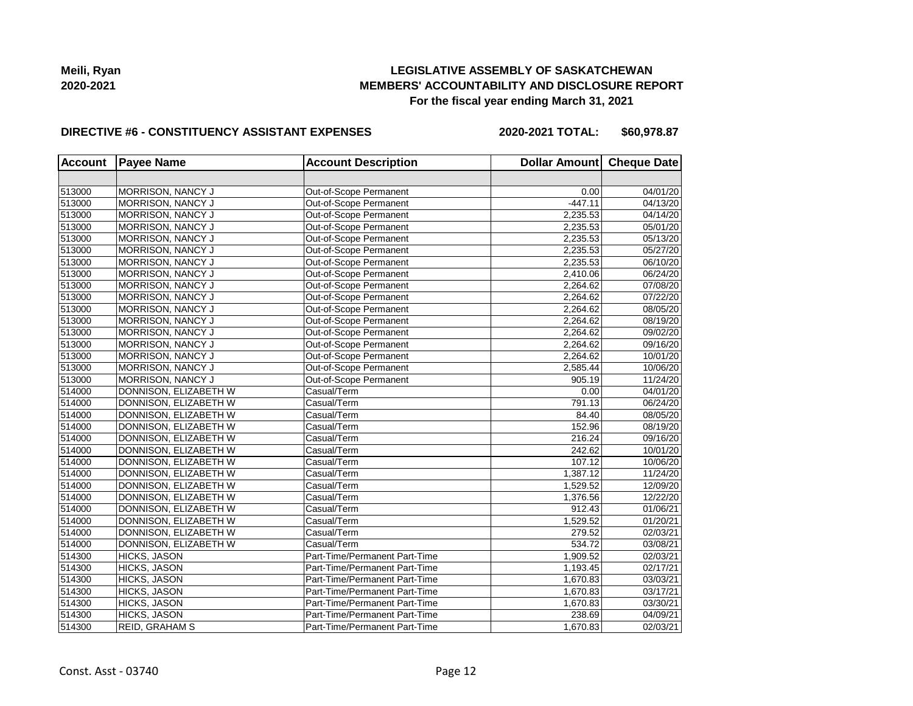

#### **DIRECTIVE #6 - CONSTITUENCY ASSISTANT EXPENSES**

**2020-2021 TOTAL: \$60,978.87**

| <b>Account</b> | <b>Payee Name</b>            | <b>Account Description</b>    | Dollar Amount Cheque Date |          |
|----------------|------------------------------|-------------------------------|---------------------------|----------|
|                |                              |                               |                           |          |
| 513000         | MORRISON, NANCY J            | Out-of-Scope Permanent        | 0.00                      | 04/01/20 |
| 513000         | MORRISON, NANCY J            | Out-of-Scope Permanent        | $-447.11$                 | 04/13/20 |
| 513000         | <b>MORRISON, NANCY J</b>     | Out-of-Scope Permanent        | 2,235.53                  | 04/14/20 |
| 513000         | MORRISON, NANCY J            | Out-of-Scope Permanent        | 2,235.53                  | 05/01/20 |
| 513000         | MORRISON, NANCY J            | Out-of-Scope Permanent        | 2,235.53                  | 05/13/20 |
| 513000         | MORRISON, NANCY J            | Out-of-Scope Permanent        | 2,235.53                  | 05/27/20 |
| 513000         | MORRISON, NANCY J            | Out-of-Scope Permanent        | 2,235.53                  | 06/10/20 |
| 513000         | MORRISON, NANCY J            | Out-of-Scope Permanent        | 2,410.06                  | 06/24/20 |
| 513000         | <b>MORRISON, NANCY J</b>     | Out-of-Scope Permanent        | 2,264.62                  | 07/08/20 |
| 513000         | MORRISON, NANCY J            | Out-of-Scope Permanent        | 2,264.62                  | 07/22/20 |
| 513000         | MORRISON, NANCY J            | Out-of-Scope Permanent        | 2,264.62                  | 08/05/20 |
| 513000         | MORRISON, NANCY J            | Out-of-Scope Permanent        | 2,264.62                  | 08/19/20 |
| 513000         | MORRISON, NANCY J            | Out-of-Scope Permanent        | 2,264.62                  | 09/02/20 |
| 513000         | MORRISON, NANCY J            | Out-of-Scope Permanent        | 2,264.62                  | 09/16/20 |
| 513000         | MORRISON, NANCY J            | Out-of-Scope Permanent        | 2.264.62                  | 10/01/20 |
| 513000         | MORRISON, NANCY J            | Out-of-Scope Permanent        | 2.585.44                  | 10/06/20 |
| 513000         | MORRISON, NANCY J            | Out-of-Scope Permanent        | 905.19                    | 11/24/20 |
| 514000         | DONNISON, ELIZABETH W        | Casual/Term                   | 0.00                      | 04/01/20 |
| 514000         | DONNISON, ELIZABETH W        | Casual/Term                   | 791.13                    | 06/24/20 |
| 514000         | DONNISON, ELIZABETH W        | Casual/Term                   | 84.40                     | 08/05/20 |
| 514000         | <b>DONNISON, ELIZABETH W</b> | Casual/Term                   | 152.96                    | 08/19/20 |
| 514000         | DONNISON, ELIZABETH W        | Casual/Term                   | 216.24                    | 09/16/20 |
| 514000         | DONNISON, ELIZABETH W        | Casual/Term                   | 242.62                    | 10/01/20 |
| 514000         | DONNISON, ELIZABETH W        | Casual/Term                   | 107.12                    | 10/06/20 |
| 514000         | DONNISON, ELIZABETH W        | Casual/Term                   | 1,387.12                  | 11/24/20 |
| 514000         | DONNISON, ELIZABETH W        | Casual/Term                   | 1,529.52                  | 12/09/20 |
| 514000         | DONNISON, ELIZABETH W        | Casual/Term                   | 1,376.56                  | 12/22/20 |
| 514000         | DONNISON, ELIZABETH W        | Casual/Term                   | 912.43                    | 01/06/21 |
| 514000         | DONNISON, ELIZABETH W        | Casual/Term                   | 1,529.52                  | 01/20/21 |
| 514000         | DONNISON, ELIZABETH W        | Casual/Term                   | 279.52                    | 02/03/21 |
| 514000         | DONNISON, ELIZABETH W        | Casual/Term                   | 534.72                    | 03/08/21 |
| 514300         | HICKS, JASON                 | Part-Time/Permanent Part-Time | 1,909.52                  | 02/03/21 |
| 514300         | HICKS, JASON                 | Part-Time/Permanent Part-Time | 1,193.45                  | 02/17/21 |
| 514300         | HICKS, JASON                 | Part-Time/Permanent Part-Time | 1,670.83                  | 03/03/21 |
| 514300         | <b>HICKS, JASON</b>          | Part-Time/Permanent Part-Time | 1,670.83                  | 03/17/21 |
| 514300         | <b>HICKS, JASON</b>          | Part-Time/Permanent Part-Time | 1,670.83                  | 03/30/21 |
| 514300         | HICKS, JASON                 | Part-Time/Permanent Part-Time | 238.69                    | 04/09/21 |
| 514300         | <b>REID, GRAHAM S</b>        | Part-Time/Permanent Part-Time | 1,670.83                  | 02/03/21 |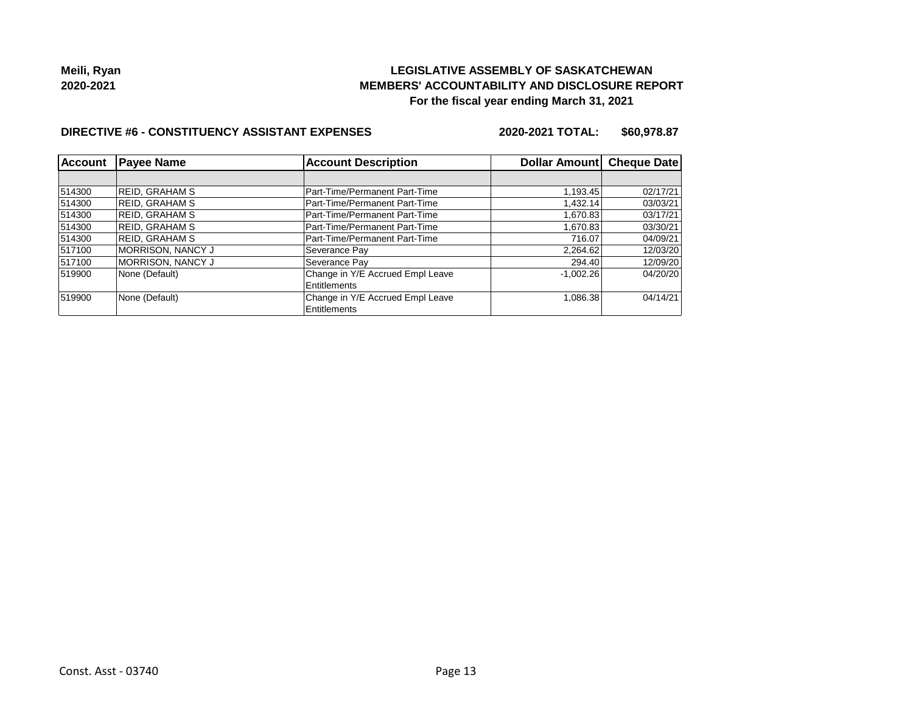

#### **DIRECTIVE #6 - CONSTITUENCY ASSISTANT EXPENSES**

**2020-2021 TOTAL: \$60,978.87**

| Account | <b>Payee Name</b>         | <b>Account Description</b>       | Dollar Amount Cheque Date |          |
|---------|---------------------------|----------------------------------|---------------------------|----------|
|         |                           |                                  |                           |          |
| 514300  | IREID. GRAHAM S           | Part-Time/Permanent Part-Time    | 1,193.45                  | 02/17/21 |
| 514300  | <b>REID, GRAHAM S</b>     | Part-Time/Permanent Part-Time    | 1.432.14                  | 03/03/21 |
| 514300  | IREID. GRAHAM S           | Part-Time/Permanent Part-Time    | 1,670.83                  | 03/17/21 |
| 514300  | REID, GRAHAM S            | Part-Time/Permanent Part-Time    | 1,670.83                  | 03/30/21 |
| 514300  | IREID. GRAHAM S           | Part-Time/Permanent Part-Time    | 716.07                    | 04/09/21 |
| 517100  | IMORRISON. NANCY J        | Severance Pav                    | 2,264.62                  | 12/03/20 |
| 517100  | <b>IMORRISON, NANCY J</b> | Severance Pay                    | 294.40                    | 12/09/20 |
| 519900  | None (Default)            | Change in Y/E Accrued Empl Leave | $-1,002.26$               | 04/20/20 |
|         |                           | Entitlements                     |                           |          |
| 519900  | None (Default)            | Change in Y/E Accrued Empl Leave | 1,086.38                  | 04/14/21 |
|         |                           | Entitlements                     |                           |          |